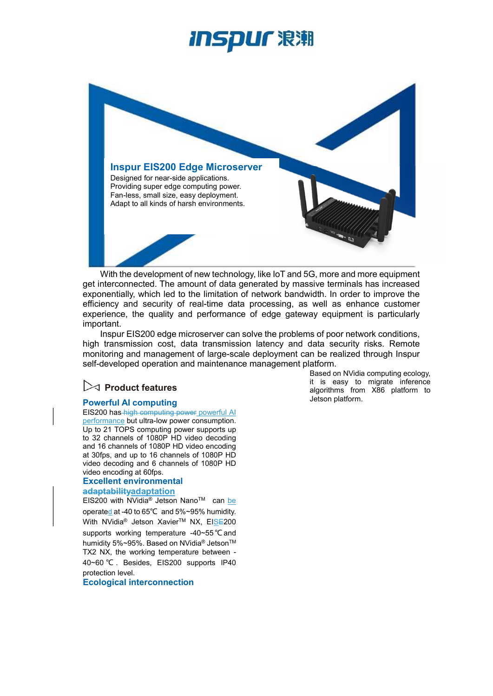## ISDUſ 浪潮



With the development of new technology, like IoT and 5G, more and more equipment get interconnected. The amount of data generated by massive terminals has increased exponentially, which led to the limitation of network bandwidth. In order to improve the efficiency and security of real-time data processing, as well as enhance customer experience, the quality and performance of edge gateway equipment is particularly important.

Inspur EIS200 edge microserver can solve the problems of poor network conditions, high transmission cost, data transmission latency and data security risks. Remote monitoring and management of large-scale deployment can be realized through Inspur self-developed operation and maintenance management platform.

### $\triangleright$  Product features

#### Powerful AI computing

EIS200 has high computing power powerful AI performance but ultra-low power consumption. Up to 21 TOPS computing power supports up to 32 channels of 1080P HD video decoding and 16 channels of 1080P HD video encoding at 30fps, and up to 16 channels of 1080P HD video decoding and 6 channels of 1080P HD video encoding at 60fps.

#### Excellent environmental adaptabilityadaptation

EIS200 with NVidia® Jetson NanoTM can be operated at -40 to 65℃ and 5%~95% humidity. With NVidia<sup>®</sup> Jetson Xavier™ NX, EISE200 supports working temperature -40~55 ℃ and humidity 5%~95%. Based on NVidia<sup>®</sup> Jetson<sup>™</sup> TX2 NX, the working temperature between - 40~60 ℃ . Besides, EIS200 supports IP40 protection level.

#### Ecological interconnection

Based on NVidia computing ecology, it is easy to migrate inference algorithms from X86 platform to Jetson platform.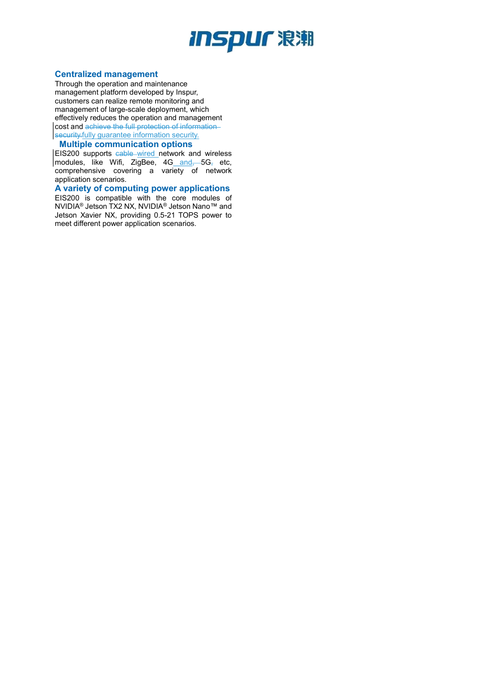# *INSpur 浪潮*

#### Centralized management

Through the operation and maintenance management platform developed by Inspur, customers can realize remote monitoring and management of large-scale deployment, which effectively reduces the operation and management cost and achieve the full protection of information security.fully guarantee information security.

#### Multiple communication options

EIS200 supports cable wired network and wireless modules, like Wifi, ZigBee, 4G and, 5G, etc, comprehensive covering a variety of network application scenarios.

A variety of computing power applications EIS200 is compatible with the core modules of NVIDIA® Jetson TX2 NX, NVIDIA® Jetson Nano™ and Jetson Xavier NX, providing 0.5-21 TOPS power to meet different power application scenarios.